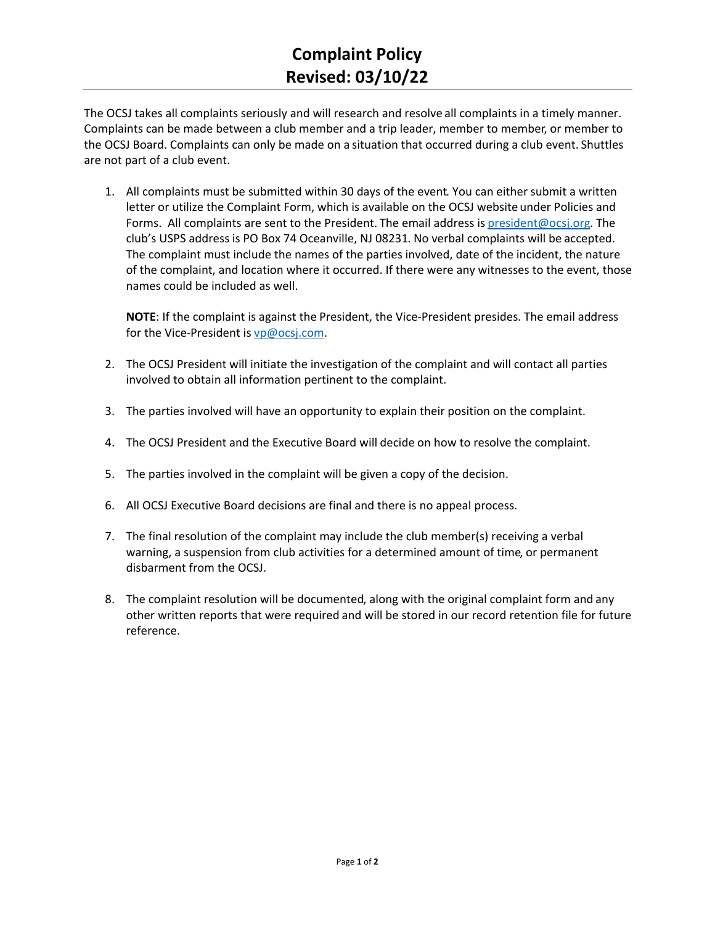The OCSJ takes all complaints seriously and will research and resolve all complaints in a timely manner. Complaints can be made between a club member and a trip leader, member to member, or member to the OCSJ Board. Complaints can only be made on a situation that occurred during a club event. Shuttles are not part of a club event.

1. All complaints must be submitted within 30 days of the event. You can either submit a written letter or utilize the Complaint Form, which is available on the OCSJ website under Policies and Forms. All complaints are sent to the President. The email address i[s president@ocsj.org.](mailto:president@ocsj.org) The club's USPS address is PO Box 74 Oceanville, NJ 08231. No verbal complaints will be accepted. The complaint must include the names of the parties involved, date of the incident, the nature of the complaint, and location where it occurred. If there were any witnesses to the event, those names could be included as well.

**NOTE**: If the complaint is against the President, the Vice-President presides. The email address for the Vice-President i[s vp@ocsj.com.](mailto:vp@ocsj.com)

- 2. The OCSJ President will initiate the investigation of the complaint and will contact all parties involved to obtain all information pertinent to the complaint.
- 3. The parties involved will have an opportunity to explain their position on the complaint.
- 4. The OCSJ President and the Executive Board will decide on how to resolve the complaint.
- 5. The parties involved in the complaint will be given a copy of the decision.
- 6. All OCSJ Executive Board decisions are final and there is no appeal process.
- 7. The final resolution of the complaint may include the club member(s) receiving a verbal warning, a suspension from club activities for a determined amount of time, or permanent disbarment from the OCSJ.
- 8. The complaint resolution will be documented, along with the original complaint form and any other written reports that were required and will be stored in our record retention file for future reference.